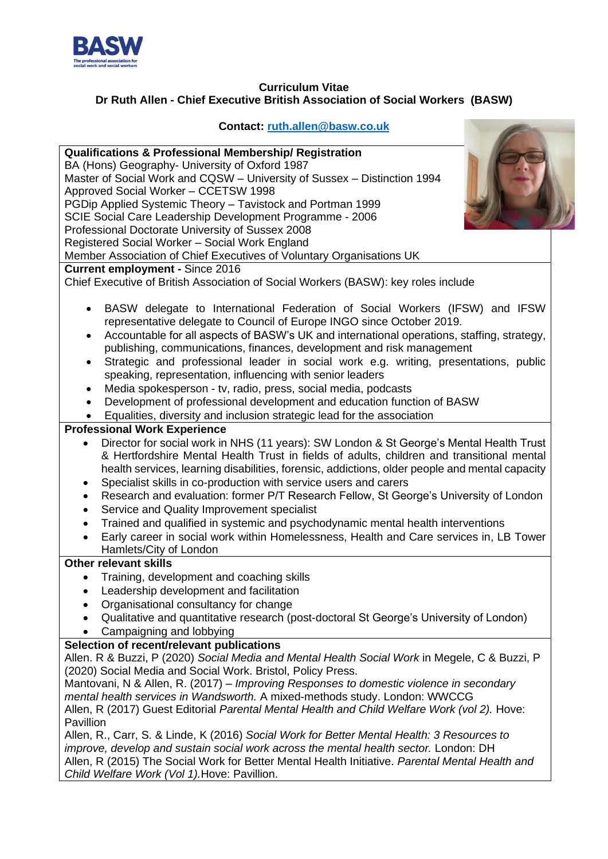

## **Curriculum Vitae Dr Ruth Allen - Chief Executive British Association of Social Workers (BASW)**

## **Contact: [ruth.allen@basw.co.uk](mailto:ruth.allen@basw.co.uk)**

 $\sqrt{2}$ 

| <b>Qualifications &amp; Professional Membership/ Registration</b>                                    |
|------------------------------------------------------------------------------------------------------|
| BA (Hons) Geography- University of Oxford 1987                                                       |
| Master of Social Work and CQSW - University of Sussex - Distinction 1994                             |
| Approved Social Worker - CCETSW 1998                                                                 |
| PGDip Applied Systemic Theory - Tavistock and Portman 1999                                           |
| SCIE Social Care Leadership Development Programme - 2006                                             |
|                                                                                                      |
| Professional Doctorate University of Sussex 2008                                                     |
| Registered Social Worker - Social Work England                                                       |
| Member Association of Chief Executives of Voluntary Organisations UK                                 |
| <b>Current employment - Since 2016</b>                                                               |
| Chief Executive of British Association of Social Workers (BASW): key roles include                   |
|                                                                                                      |
| BASW delegate to International Federation of Social Workers (IFSW) and IFSW<br>$\bullet$             |
| representative delegate to Council of Europe INGO since October 2019.                                |
| Accountable for all aspects of BASW's UK and international operations, staffing, strategy,<br>٠      |
| publishing, communications, finances, development and risk management                                |
| Strategic and professional leader in social work e.g. writing, presentations, public<br>٠            |
| speaking, representation, influencing with senior leaders                                            |
|                                                                                                      |
| Media spokesperson - tv, radio, press, social media, podcasts                                        |
| Development of professional development and education function of BASW                               |
| Equalities, diversity and inclusion strategic lead for the association                               |
| <b>Professional Work Experience</b>                                                                  |
| Director for social work in NHS (11 years): SW London & St George's Mental Health Trust<br>$\bullet$ |
| & Hertfordshire Mental Health Trust in fields of adults, children and transitional mental            |
| health services, learning disabilities, forensic, addictions, older people and mental capacity       |
| Specialist skills in co-production with service users and carers<br>٠                                |
| Research and evaluation: former P/T Research Fellow, St George's University of London<br>$\bullet$   |
| Service and Quality Improvement specialist<br>$\bullet$                                              |
|                                                                                                      |
| Trained and qualified in systemic and psychodynamic mental health interventions<br>$\bullet$         |
| Early career in social work within Homelessness, Health and Care services in, LB Tower               |
| Hamlets/City of London                                                                               |
| <b>Other relevant skills</b>                                                                         |
| Training, development and coaching skills                                                            |
| Leadership development and facilitation<br>$\bullet$                                                 |
| Organisational consultancy for change<br>$\bullet$                                                   |
| Qualitative and quantitative research (post-doctoral St George's University of London)               |
| Campaigning and lobbying<br>$\bullet$                                                                |
| Selection of recent/relevant publications                                                            |
| Allen. R & Buzzi, P (2020) Social Media and Mental Health Social Work in Megele, C & Buzzi, P        |
| (2020) Social Media and Social Work. Bristol, Policy Press.                                          |
|                                                                                                      |
| Mantovani, N & Allen, R. (2017) – Improving Responses to domestic violence in secondary              |
| mental health services in Wandsworth. A mixed-methods study. London: WWCCG                           |
| Allen, R (2017) Guest Editorial Parental Mental Health and Child Welfare Work (vol 2). Hove:         |
| Pavillion                                                                                            |
| Allen, R., Carr, S. & Linde, K (2016) Social Work for Better Mental Health: 3 Resources to           |
| improve, develop and sustain social work across the mental health sector. London: DH                 |
| Allen, R (2015) The Social Work for Better Mental Health Initiative. Parental Mental Health and      |
| Child Welfare Work (Vol 1). Hove: Pavillion.                                                         |
|                                                                                                      |